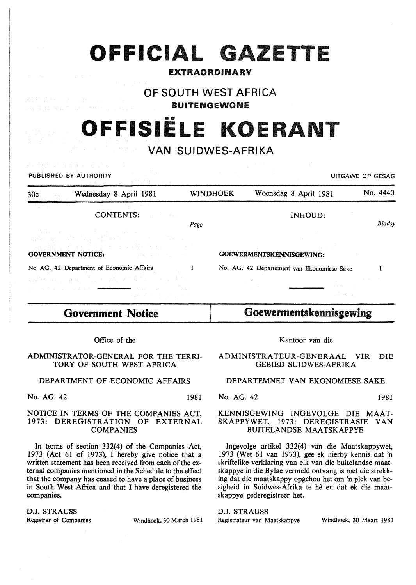# **OFFICIAL GAZETTE**

# EXTRAORDINARY

# OF SOUTH WEST AFRICA

BUITENGEWONE

# OFFISIELE KOERANT

# VAN SUIDWES-AFRIKA

| PUBLISHED BY AUTHORITY<br>100ml - 1966 - 1971 - 1986 - 1997 - 1998 - 1999<br>1991 - 1992 - 1992 - 1992 - 1992 - 1992 - 1992 - 1992 - 1992 - 1992 - 1992 - 1993 - 1994 - 1994 - 1994 - 1994                                                                                                   |      |                 |                                            | UITGAWE OP GESAG |
|----------------------------------------------------------------------------------------------------------------------------------------------------------------------------------------------------------------------------------------------------------------------------------------------|------|-----------------|--------------------------------------------|------------------|
| Wednesday 8 April 1981<br>30c                                                                                                                                                                                                                                                                |      | <b>WINDHOEK</b> | Woensdag 8 April 1981                      | No. 4440         |
| CONTENTS:                                                                                                                                                                                                                                                                                    | Page |                 | <b>INHOUD:</b>                             | <b>Bladsy</b>    |
| 大体の ファー・バー 手によって あいの<br><b>这个人是,一定</b> 是我们的人,我们的人们的人,我们也不是<br>- 国民連続 アイアイオンはくりょうそうかん イスティー<br><b>GOVERNMENT NOTICE: EXECUTE: EXECUTE: EXECUTE: EXECUTE: EXECUTE: EXECUTE: EXECUTE: EXECUTE: EXECUTE: EXECUTE: EXECUTE: EXECUTE: EXECUTE: EXECUTE: EXECUTE: EXECUTE: EXECUTE: EXECUTE: EX</b> |      |                 | GOEWERMENTSKENNISGEWING:                   |                  |
| No AG. 42 Department of Economic Affairs                                                                                                                                                                                                                                                     |      |                 | No. AG. 42 Departement van Ekonomiese Sake |                  |
| 同時保険 ちょうえん プログラムメディスク おうしゃく すかい<br>and the second state of the second state of the second state of the second state of the second state of the second state of the second state of the second state of the second state of the second state of the second state o                            |      |                 |                                            |                  |

# **Government** Notice

Office of the

## ADMINISTRATOR-GENERAL FOR THE TERRI-TORY OF SOUTH WEST AFRICA

# DEPARTMENT OF ECONOMIC AFFAIRS

No. AG. 42 1981

民族的 出来的

### NOTICE IN TERMS OF THE COMPANIES ACT, 1973: DEREGISTRATION OF EXTERNAL COMPANIES

In terms of section 332(4) of the Companies Act, 1973 (Act 61 of 1973), I hereby give notice that a written statement has been received from each of the external companies mentioned in the Schedule to the effect that the company has ceased to have a place of business in South West Africa and that I have deregistered the companies.

D.J. STRAUSS

Registrar of Companies Windhoek, 30 March 1981

# Kantoor van die

Goewermentskennisgewing

## ADMINISTRATEUR-GENERAAL VIR DIE GEBIED SUIDWES-AFRIKA

# DEPARTEMNET VAN EKONOMIESE SAKE

No. AG. 42 1981

### KENNISGEWING INGEVOLGE DIE MAAT-SKAPPYWET, 1973: DEREGISTRASIE VAN BUITELANDSE MAATSKAPPYE

Ingevolge artikel 332(4) van die Maatskappywet, 1973 (Wet 61 van 1973), gee ek hierby kennis dat 'n skriftelike verklaring van elk van die buitelandse maatskappye in die Bylae vermeld ontvang is met die strekking dat die maatskappy opgehou het om 'n plek van besigheid in Suidwes-Afrika te he en dat ek die maatskappye gederegistreer het.

# D.J. STRAUSS

Registrateur van Maatskappye Windhoek, 30 Maart 1981